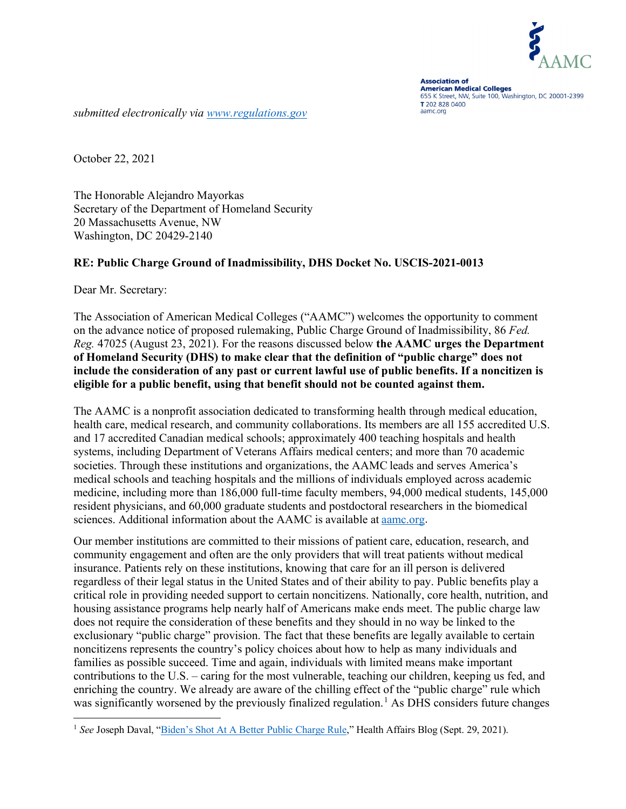

**Association of American Medical Colleges** 655 K Street, NW, Suite 100, Washington, DC 20001-2399 T 202 828 0400 aamc.org

*submitted electronically via [www.regulations.gov](http://www.regulations.gov/)*

October 22, 2021

The Honorable Alejandro Mayorkas Secretary of the Department of Homeland Security 20 Massachusetts Avenue, NW Washington, DC 20429-2140

### **RE: Public Charge Ground of Inadmissibility, DHS Docket No. USCIS-2021-0013**

Dear Mr. Secretary:

The Association of American Medical Colleges ("AAMC") welcomes the opportunity to comment on the advance notice of proposed rulemaking, Public Charge Ground of Inadmissibility, 86 *Fed. Reg.* 47025 (August 23, 2021). For the reasons discussed below **the AAMC urges the Department of Homeland Security (DHS) to make clear that the definition of "public charge" does not include the consideration of any past or current lawful use of public benefits. If a noncitizen is eligible for a public benefit, using that benefit should not be counted against them.** 

The AAMC is a nonprofit association dedicated to transforming health through medical education, health care, medical research, and community collaborations. Its members are all 155 accredited U.S. and 17 accredited Canadian medical schools; approximately 400 teaching hospitals and health systems, including Department of Veterans Affairs medical centers; and more than 70 academic societies. Through these institutions and organizations, the AAMC leads and serves America's medical schools and teaching hospitals and the millions of individuals employed across academic medicine, including more than 186,000 full-time faculty members, 94,000 medical students, 145,000 resident physicians, and 60,000 graduate students and postdoctoral researchers in the biomedical sciences. Additional information about the AAMC is available at [aamc.org.](https://www.aamc.org/)

Our member institutions are committed to their missions of patient care, education, research, and community engagement and often are the only providers that will treat patients without medical insurance. Patients rely on these institutions, knowing that care for an ill person is delivered regardless of their legal status in the United States and of their ability to pay. Public benefits play a critical role in providing needed support to certain noncitizens. Nationally, core health, nutrition, and housing assistance programs help nearly half of Americans make ends meet. The public charge law does not require the consideration of these benefits and they should in no way be linked to the exclusionary "public charge" provision. The fact that these benefits are legally available to certain noncitizens represents the country's policy choices about how to help as many individuals and families as possible succeed. Time and again, individuals with limited means make important contributions to the U.S. – caring for the most vulnerable, teaching our children, keeping us fed, and enriching the country. We already are aware of the chilling effect of the "public charge" rule which was significantly worsened by the previously finalized regulation.<sup>[1](#page-0-0)</sup> As DHS considers future changes

<span id="page-0-0"></span><sup>&</sup>lt;sup>1</sup> See Joseph Daval, "[Biden's Shot At A Better Public Charge Rule](https://www.healthaffairs.org/do/10.1377/hblog20210924.126765/full/)," Health Affairs Blog (Sept. 29, 2021).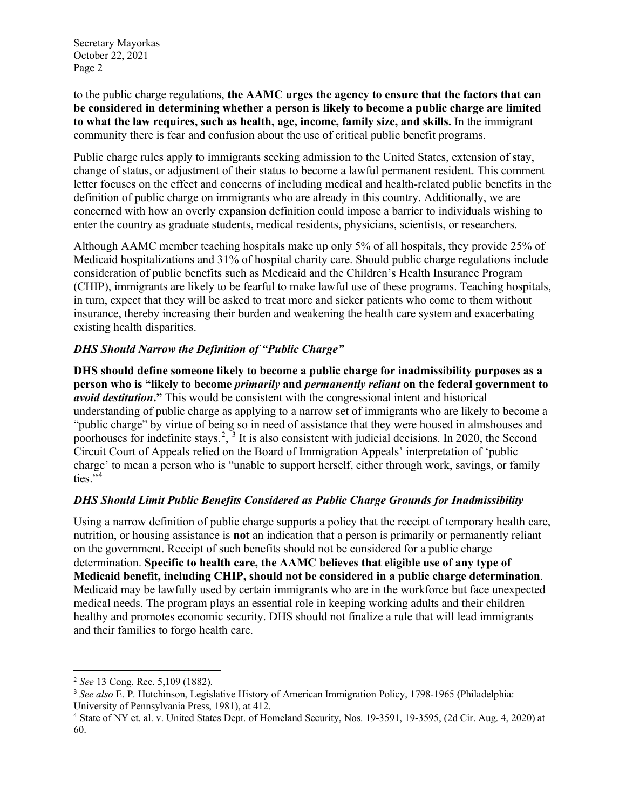Secretary Mayorkas October 22, 2021 Page 2

to the public charge regulations, **the AAMC urges the agency to ensure that the factors that can be considered in determining whether a person is likely to become a public charge are limited to what the law requires, such as health, age, income, family size, and skills.** In the immigrant community there is fear and confusion about the use of critical public benefit programs.

Public charge rules apply to immigrants seeking admission to the United States, extension of stay, change of status, or adjustment of their status to become a lawful permanent resident. This comment letter focuses on the effect and concerns of including medical and health-related public benefits in the definition of public charge on immigrants who are already in this country. Additionally, we are concerned with how an overly expansion definition could impose a barrier to individuals wishing to enter the country as graduate students, medical residents, physicians, scientists, or researchers.

Although AAMC member teaching hospitals make up only 5% of all hospitals, they provide 25% of Medicaid hospitalizations and 31% of hospital charity care. Should public charge regulations include consideration of public benefits such as Medicaid and the Children's Health Insurance Program (CHIP), immigrants are likely to be fearful to make lawful use of these programs. Teaching hospitals, in turn, expect that they will be asked to treat more and sicker patients who come to them without insurance, thereby increasing their burden and weakening the health care system and exacerbating existing health disparities.

# *DHS Should Narrow the Definition of "Public Charge"*

**DHS should define someone likely to become a public charge for inadmissibility purposes as a person who is "likely to become** *primarily* **and** *permanently reliant* **on the federal government to**  *avoid destitution***."** This would be consistent with the congressional intent and historical understanding of public charge as applying to a narrow set of immigrants who are likely to become a "public charge" by virtue of being so in need of assistance that they were housed in almshouses and poorhouses for indefinite stays.<sup>[2](#page-1-0)</sup>,  $3$  It is also consistent with judicial decisions. In 2020, the Second Circuit Court of Appeals relied on the Board of Immigration Appeals' interpretation of 'public charge' to mean a person who is "unable to support herself, either through work, savings, or family ties. $^{54}$  $^{54}$  $^{54}$ 

## *DHS Should Limit Public Benefits Considered as Public Charge Grounds for Inadmissibility*

Using a narrow definition of public charge supports a policy that the receipt of temporary health care, nutrition, or housing assistance is **not** an indication that a person is primarily or permanently reliant on the government. Receipt of such benefits should not be considered for a public charge determination. **Specific to health care, the AAMC believes that eligible use of any type of Medicaid benefit, including CHIP, should not be considered in a public charge determination**. Medicaid may be lawfully used by certain immigrants who are in the workforce but face unexpected medical needs. The program plays an essential role in keeping working adults and their children healthy and promotes economic security. DHS should not finalize a rule that will lead immigrants and their families to forgo health care.

<span id="page-1-0"></span><sup>2</sup> *See* 13 Cong. Rec. 5,109 (1882).

<span id="page-1-1"></span><sup>3</sup> *See also* E. P. Hutchinson, Legislative History of American Immigration Policy, 1798-1965 (Philadelphia: University of Pennsylvania Press, 1981), at 412.

<span id="page-1-2"></span><sup>4</sup> State of NY et. al. v. United States Dept. of Homeland Security, Nos. 19-3591, 19-3595, (2d Cir. Aug. 4, 2020) at 60.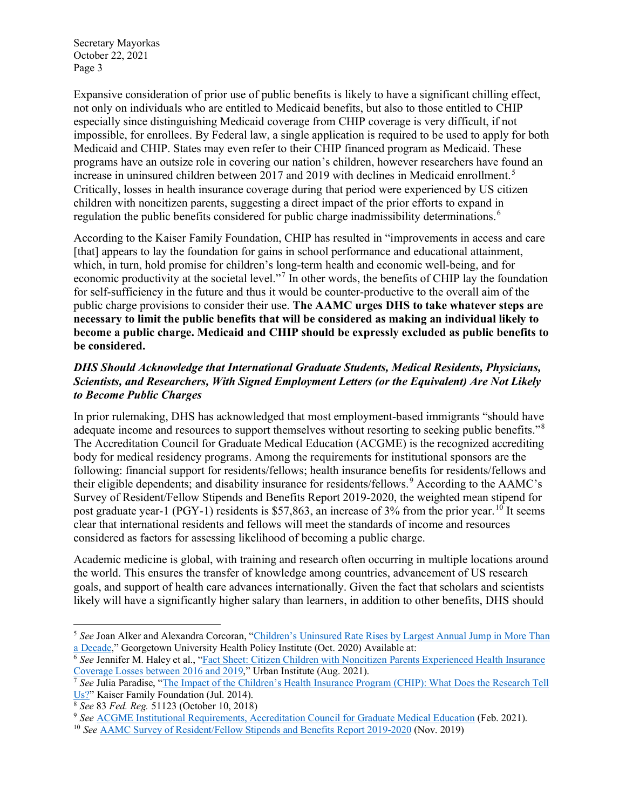Secretary Mayorkas October 22, 2021 Page 3

Expansive consideration of prior use of public benefits is likely to have a significant chilling effect, not only on individuals who are entitled to Medicaid benefits, but also to those entitled to CHIP especially since distinguishing Medicaid coverage from CHIP coverage is very difficult, if not impossible, for enrollees. By Federal law, a single application is required to be used to apply for both Medicaid and CHIP. States may even refer to their CHIP financed program as Medicaid. These programs have an outsize role in covering our nation's children, however researchers have found an increase in uninsured children between 2017 and 2019 with declines in Medicaid enrollment. [5](#page-2-0) Critically, losses in health insurance coverage during that period were experienced by US citizen children with noncitizen parents, suggesting a direct impact of the prior efforts to expand in regulation the public benefits considered for public charge inadmissibility determinations.<sup>[6](#page-2-1)</sup>

According to the Kaiser Family Foundation, CHIP has resulted in "improvements in access and care [that] appears to lay the foundation for gains in school performance and educational attainment, which, in turn, hold promise for children's long-term health and economic well-being, and for economic productivity at the societal level."[7](#page-2-2) In other words, the benefits of CHIP lay the foundation for self-sufficiency in the future and thus it would be counter-productive to the overall aim of the public charge provisions to consider their use. **The AAMC urges DHS to take whatever steps are necessary to limit the public benefits that will be considered as making an individual likely to become a public charge. Medicaid and CHIP should be expressly excluded as public benefits to be considered.**

# *DHS Should Acknowledge that International Graduate Students, Medical Residents, Physicians, Scientists, and Researchers, With Signed Employment Letters (or the Equivalent) Are Not Likely to Become Public Charges*

In prior rulemaking, DHS has acknowledged that most employment-based immigrants "should have adequate income and resources to support themselves without resorting to seeking public benefits."<sup>[8](#page-2-3)</sup> The Accreditation Council for Graduate Medical Education (ACGME) is the recognized accrediting body for medical residency programs. Among the requirements for institutional sponsors are the following: financial support for residents/fellows; health insurance benefits for residents/fellows and their eligible dependents; and disability insurance for residents/fellows.<sup>[9](#page-2-4)</sup> According to the AAMC's Survey of Resident/Fellow Stipends and Benefits Report 2019-2020, the weighted mean stipend for post graduate year-1 (PGY-1) residents is \$57,863, an increase of 3% from the prior year.<sup>[10](#page-2-5)</sup> It seems clear that international residents and fellows will meet the standards of income and resources considered as factors for assessing likelihood of becoming a public charge.

Academic medicine is global, with training and research often occurring in multiple locations around the world. This ensures the transfer of knowledge among countries, advancement of US research goals, and support of health care advances internationally. Given the fact that scholars and scientists likely will have a significantly higher salary than learners, in addition to other benefits, DHS should

<span id="page-2-0"></span><sup>&</sup>lt;sup>5</sup> See Joan Alker and Alexandra Corcoran, "[Children's Uninsured Rate Rises by Largest Annual Jump in More Than](https://ccf.georgetown.edu/wp-content/uploads/2020/10/ACS-Uninsured-Kids-2020_10-06-edit-3.pdf) a Decade," Georgetown University Health Policy Institute (Oct. 2020) Available at:

<span id="page-2-1"></span> $\overline{6}$  See Jennifer M. Haley et al., "<u>Fact Sheet: Citizen Children with Noncitizen Parents Experienced Health Insurance</u><br>Coverage Losses between 2016 and 2019," Urban Institute (Aug. 2021).

<span id="page-2-2"></span><sup>&</sup>lt;sup>7</sup> See Julia Paradise, "The Impact of the Children's Health Insurance Program (CHIP): What Does the Research Tell [Us?"](https://www.kff.org/report-section/the-impact-of-the-childrens-health-insurance-program-chip-issue-brief/) Kaiser Family Foundation (Jul. 2014). 8 *See* <sup>83</sup>*Fed. Reg.* 51123 (October 10, 2018)

<span id="page-2-5"></span><span id="page-2-4"></span><span id="page-2-3"></span><sup>&</sup>lt;sup>9</sup> See **ACGME** Institutional Requirements, [Accreditation Council for Graduate Medical Education](https://www.acgme.org/Portals/0/PFAssets/InstitutionalRequirements/000InstitutionalRequirements2018.pdf?ver=2018-02-19-132236-600) (Feb. 2021).

<sup>10</sup> *See* [AAMC Survey of Resident/Fellow Stipends and Benefits Report 2019](https://www.aamc.org/media/37766/download)-2020 (Nov. 2019)